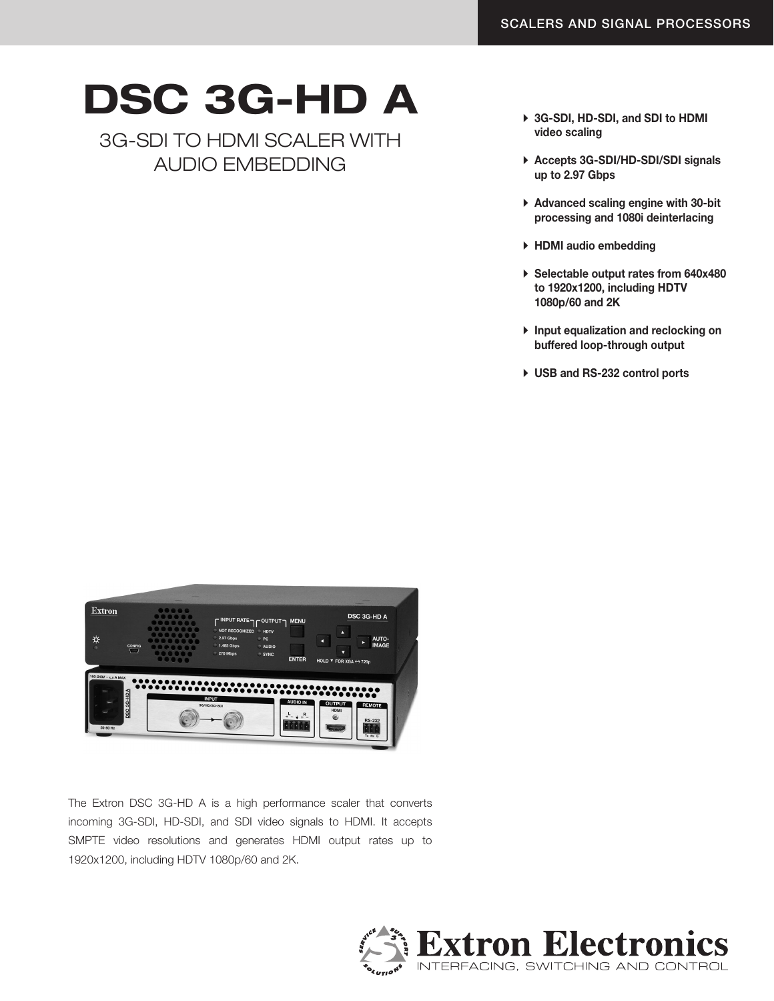## DSC 3G-HD A

3G-SDI to HDMI SCALER with AUDIO EMBEDDING

- ▶ 3G-SDI, HD-SDI, and SDI to HDMI video scaling
- ▶ Accepts 3G-SDI/HD-SDI/SDI signals up to 2.97 Gbps
- $\triangleright$  Advanced scaling engine with 30-bit processing and 1080i deinterlacing
- $\blacktriangleright$  HDMI audio embedding
- ▶ Selectable output rates from 640x480 to 1920x1200, including HDTV 1080p/60 and 2K
- $\triangleright$  Input equalization and reclocking on buffered loop-through output
- ▶ USB and RS-232 control ports

| <b>Extron</b><br>♯<br><b>CONFIG</b><br>$\alpha$<br>$\Box$ | 00000<br>$\bullet \bullet \bullet \bullet \bullet$ | C INPUT RATE <sub>2</sub> C OUTPUT<br>NOT RECOGNIZED<br><b>HDTV</b><br>2.97 Gbps<br><b>PC</b><br>1.485 Gbps<br><b>AUDIO</b><br>270 Mbps<br>SYNC | <b>MENU</b><br><b>ENTER</b>               | л<br>п<br>ヮ<br>HOLD $\blacktriangledown$ FOR XGA $\leftrightarrow$ 720p | <b>DSC 3G-HD A</b><br>AUTO-<br><b>IMAGE</b>     |
|-----------------------------------------------------------|----------------------------------------------------|-------------------------------------------------------------------------------------------------------------------------------------------------|-------------------------------------------|-------------------------------------------------------------------------|-------------------------------------------------|
| 100-240V ~ x x A MAX<br>DSC 3G-HDA<br>50-60 Hz            |                                                    | <b>INPUT</b><br>3G/HD/SD-SDI                                                                                                                    | <b>AUDIO IN</b><br>R<br>$ 0 $ $ 0 $ $ 0 $ | <b>OUTPUT</b><br><b>HDMI</b><br>⊛<br><b>HANNAN</b>                      | <b>REMOTE</b><br><b>RS-232</b><br>$Tx$ $Rx$ $G$ |

The Extron DSC 3G-HD A is a high performance scaler that converts incoming 3G-SDI, HD-SDI, and SDI video signals to HDMI. It accepts SMPTE video resolutions and generates HDMI output rates up to 1920x1200, including HDTV 1080p/60 and 2K.